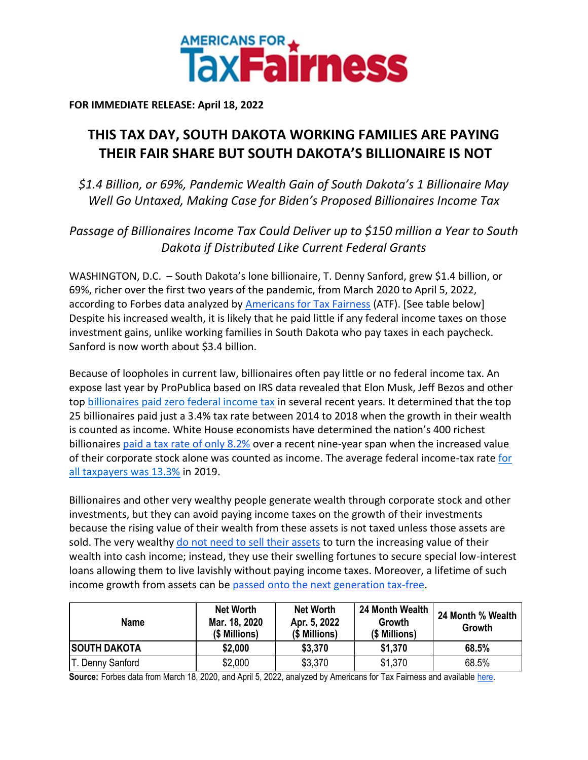

**FOR IMMEDIATE RELEASE: April 18, 2022**

## **THIS TAX DAY, SOUTH DAKOTA WORKING FAMILIES ARE PAYING THEIR FAIR SHARE BUT SOUTH DAKOTA'S BILLIONAIRE IS NOT**

*\$1.4 Billion, or 69%, Pandemic Wealth Gain of South Dakota's 1 Billionaire May Well Go Untaxed, Making Case for Biden's Proposed Billionaires Income Tax*

*Passage of Billionaires Income Tax Could Deliver up to \$150 million a Year to South Dakota if Distributed Like Current Federal Grants*

WASHINGTON, D.C. – South Dakota's lone billionaire, T. Denny Sanford, grew \$1.4 billion, or 69%, richer over the first two years of the pandemic, from March 2020 to April 5, 2022, according to Forbes data analyzed by [Americans for Tax Fairness](https://americansfortaxfairness.org/) (ATF). [See table below] Despite his increased wealth, it is likely that he paid little if any federal income taxes on those investment gains, unlike working families in South Dakota who pay taxes in each paycheck. Sanford is now worth about \$3.4 billion.

Because of loopholes in current law, billionaires often pay little or no federal income tax. An expose last year by ProPublica based on IRS data revealed that Elon Musk, Jeff Bezos and other to[p](https://americansfortaxfairness.org/wp-content/uploads/ProPublica-Billionaires-Fact-Sheet-Updated.pdf) [billionaires paid zero federal income tax](https://americansfortaxfairness.org/wp-content/uploads/ProPublica-Billionaires-Fact-Sheet-Updated.pdf) in several recent years. It determined that the top 25 billionaires paid just a 3.4% tax rate between 2014 to 2018 when the growth in their wealth is counted as income. White House economists have determined the nation's 400 richest billionaire[s](https://www.whitehouse.gov/cea/written-materials/2021/09/23/what-is-the-average-federal-individual-income-tax-rate-on-the-wealthiest-americans/) [paid a tax rate of only 8.2%](https://www.whitehouse.gov/cea/written-materials/2021/09/23/what-is-the-average-federal-individual-income-tax-rate-on-the-wealthiest-americans/) over a recent nine-year span when the increased value of their corporate stock alone was counted as income. The average federal income-tax rat[e](https://taxfoundation.org/summary-latest-federal-income-tax-data-2022-update/) [for](https://taxfoundation.org/summary-latest-federal-income-tax-data-2022-update/)  [all taxpayers was 13.3%](https://taxfoundation.org/summary-latest-federal-income-tax-data-2022-update/) in 2019.

Billionaires and other very wealthy people generate wealth through corporate stock and other investments, but they can avoid paying income taxes on the growth of their investments because the rising value of their wealth from these assets is not taxed unless those assets are sold. The ver[y](https://www.wsj.com/articles/buy-borrow-die-how-rich-americans-live-off-their-paper-wealth-11625909583) wealthy [do not need to sell their assets](https://www.wsj.com/articles/buy-borrow-die-how-rich-americans-live-off-their-paper-wealth-11625909583) to turn the increasing value of their wealth into cash income; instead, they use their swelling fortunes to secure special low-interest loans allowing them to live lavishly without paying income taxes. Moreover, a lifetime of such income growth from assets can b[e](https://americansfortaxfairness.org/issue/stop-protecting-billionaires-close-stepped-basis-loophole/) [passed onto the next generation tax-free.](https://americansfortaxfairness.org/issue/stop-protecting-billionaires-close-stepped-basis-loophole/)

| <b>Name</b>         | <b>Net Worth</b><br>Mar. 18, 2020<br>(\$ Millions) | <b>Net Worth</b><br>Apr. 5, 2022<br>(\$ Millions) | 24 Month Wealth<br>Growth<br>(\$ Millions) | 24 Month % Wealth<br>Growth |
|---------------------|----------------------------------------------------|---------------------------------------------------|--------------------------------------------|-----------------------------|
| <b>SOUTH DAKOTA</b> | \$2,000                                            | \$3,370                                           | \$1,370                                    | 68.5%                       |
| T. Denny Sanford    | \$2,000                                            | \$3,370                                           | \$1,370                                    | 68.5%                       |

**Source:** Forbes data from March 18, 2020, and April 5, 2022, analyzed by Americans for Tax Fairness and available [here.](https://docs.google.com/spreadsheets/d/1MksOhwmIojtZihAmPcfcYeaGoG3FOFZmiKUza1dIRD4/edit?usp=sharing)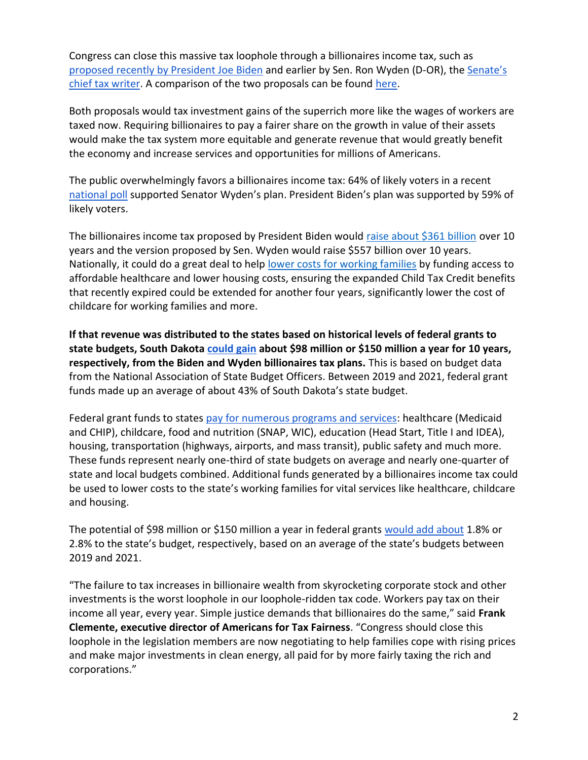Congress can close this massive tax loophole through a billionaires income tax, such as [proposed recently by President Joe Biden](https://www.whitehouse.gov/omb/briefing-room/2022/03/28/presidents-budget-rewards-work-not-wealth-with-new-billionaire-minimum-income-tax/) and [e](https://www.finance.senate.gov/chairmans-news/wyden-unveils-billionaires-income-tax)arlier by Sen. Ron Wyden (D-OR), the Senate's [chief tax writer.](https://www.finance.senate.gov/chairmans-news/wyden-unveils-billionaires-income-tax) A comparison of the two proposals can be foun[d](https://docs.google.com/document/d/1VdQTBEMGB2dHRGIt823stOBmIdul86-N7fYAQWxp-wU/edit?usp=sharing) [here.](https://americansfortaxfairness.org/issue/comparison-biden-wyden-billionaires-income-tax-proposals-short/)

Both proposals would tax investment gains of the superrich more like the wages of workers are taxed now. Requiring billionaires to pay a fairer share on the growth in value of their assets would make the tax system more equitable and generate revenue that would greatly benefit the economy and increase services and opportunities for millions of Americans.

The public overwhelmingly favors a billionaires income tax: 64% of likely voters in a recen[t](https://docs.google.com/document/d/1AhWvucOLV2qY6izLkZvHpPig6DDmdFaCbmeM-5E65Xw/edit) [national poll](https://docs.google.com/document/d/1AhWvucOLV2qY6izLkZvHpPig6DDmdFaCbmeM-5E65Xw/edit) supported Senator Wyden's plan. President Biden's plan was supported by 59% of likely voters.

The billionaires income tax proposed by President Biden would [raise about \\$361 billion](https://americansfortaxfairness.org/issue/comparison-biden-wyden-billionaires-income-tax-proposals-short/) over 10 years and the version proposed by Sen. Wyden would raise \$557 billion over 10 years. Nationally, it could do a great deal to hel[p](https://americansfortaxfairness.org/issue/6-ways-spend-revenue-billionaires-income-tax/) [lower costs for working families](https://americansfortaxfairness.org/issue/6-ways-spend-revenue-billionaires-income-tax/) by funding access to affordable healthcare and lower housing costs, ensuring the expanded Child Tax Credit benefits that recently expired could be extended for another four years, significantly lower the cost of childcare for working families and more.

**If that revenue was distributed to the states based on historical levels of federal grants to state budgets, South Dakot[a](https://docs.google.com/spreadsheets/d/1uMGQ0_Ow8ssIrktfYIvIQZwB44zOHf82ILpvh5kzWUI/edit?usp=sharing) [could gain](https://docs.google.com/spreadsheets/d/1uMGQ0_Ow8ssIrktfYIvIQZwB44zOHf82ILpvh5kzWUI/edit?usp=sharing) about \$98 million or \$150 million a year for 10 years, respectively, from the Biden and Wyden billionaires tax plans.** This is based on budget data from the National Association of State Budget Officers. Between 2019 and 2021, federal grant funds made up an average of about 43% of South Dakota's state budget.

Federal grant funds to states [pay for numerous programs and services:](https://www.cbpp.org/research/state-budget-and-tax/federal-aid-to-state-and-local-governments) healthcare (Medicaid and CHIP), childcare, food and nutrition (SNAP, WIC), education (Head Start, Title I and IDEA), housing, transportation (highways, airports, and mass transit), public safety and much more. These funds represent nearly one-third of state budgets on average and nearly one-quarter of state and local budgets combined. Additional funds generated by a billionaires income tax could be used to lower costs to the state's working families for vital services like healthcare, childcare and housing.

The potential of \$98 million or \$150 million a year in federal grants [would add about](https://docs.google.com/spreadsheets/d/1uMGQ0_Ow8ssIrktfYIvIQZwB44zOHf82ILpvh5kzWUI/edit?usp=sharing) 1.8% or 2.8% to the state's budget, respectively, based on an average of the state's budgets between 2019 and 2021.

"The failure to tax increases in billionaire wealth from skyrocketing corporate stock and other investments is the worst loophole in our loophole-ridden tax code. Workers pay tax on their income all year, every year. Simple justice demands that billionaires do the same," said **Frank Clemente, executive director of Americans for Tax Fairness**. "Congress should close this loophole in the legislation members are now negotiating to help families cope with rising prices and make major investments in clean energy, all paid for by more fairly taxing the rich and corporations."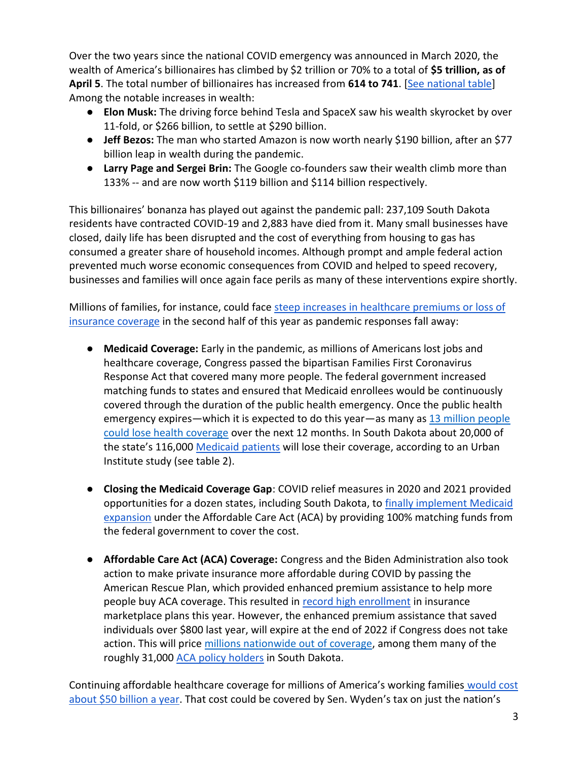Over the two years since the national COVID emergency was announced in March 2020, the wealth of America's billionaires has climbed by \$2 trillion or 70% to a total of **\$5 trillion, as of April 5**. The total number of billionaires has increased from **614 to 741**. [\[See national table\]](https://docs.google.com/spreadsheets/d/1MksOhwmIojtZihAmPcfcYeaGoG3FOFZmiKUza1dIRD4/edit?usp=sharing) Among the notable increases in wealth:

- **Elon Musk:** The driving force behind Tesla and SpaceX saw his wealth skyrocket by over 11-fold, or \$266 billion, to settle at \$290 billion.
- **Jeff Bezos:** The man who started Amazon is now worth nearly \$190 billion, after an \$77 billion leap in wealth during the pandemic.
- **Larry Page and Sergei Brin:** The Google co-founders saw their wealth climb more than 133% -- and are now worth \$119 billion and \$114 billion respectively.

This billionaires' bonanza has played out against the pandemic pall: 237,109 South Dakota residents have contracted COVID-19 and 2,883 have died from it. Many small businesses have closed, daily life has been disrupted and the cost of everything from housing to gas has consumed a greater share of household incomes. Although prompt and ample federal action prevented much worse economic consequences from COVID and helped to speed recovery, businesses and families will once again face perils as many of these interventions expire shortly.

Millions of families, for instance, could face [steep increases in healthcare premiums or loss of](https://www.nytimes.com/2022/04/04/opinion/covid-medicaid-loss.html)  [insurance coverage](https://www.nytimes.com/2022/04/04/opinion/covid-medicaid-loss.html) in the second half of this year as pandemic responses fall away:

- **Medicaid Coverage:** Early in the pandemic, as millions of Americans lost jobs and healthcare coverage, Congress passed the bipartisan Families First Coronavirus Response Act that covered many more people. The federal government increased matching funds to states and ensured that Medicaid enrollees would be continuously covered through the duration of the public health emergency. Once the public health emergency expire[s](https://www.urban.org/sites/default/files/2022-03/what-will-happen-to-medicaid-enrollees-health-coverage-after-the-public-health-emergency_1_1.pdf)—which it is expected to do this year—as many as [13 million people](https://www.urban.org/sites/default/files/2022-03/what-will-happen-to-medicaid-enrollees-health-coverage-after-the-public-health-emergency_1_1.pdf) [could lose health coverage](https://www.urban.org/sites/default/files/2022-03/what-will-happen-to-medicaid-enrollees-health-coverage-after-the-public-health-emergency_1_1.pdf) over the next 12 months. In South Dakota about 20,000 of the state's 116,[0](https://www.medicaid.gov/medicaid/program-information/medicaid-and-chip-enrollment-data/report-highlights/index.html)00 [Medicaid patients](https://www.medicaid.gov/medicaid/program-information/medicaid-and-chip-enrollment-data/report-highlights/index.html) will lose their coverage, according to an Urban Institute study (see table 2).
- **Closing the Medicaid Coverage Gap**: COVID relief measures in 2020 and 2021 provided opportunities for a dozen states, including South Dakota, t[o](https://www.cbpp.org/research/health/house-bill-gives-states-incentive-to-quickly-expand-medicaid-cover-millions-of) [finally implement Medicaid](https://www.cbpp.org/research/health/house-bill-gives-states-incentive-to-quickly-expand-medicaid-cover-millions-of)  [expansion](https://www.cbpp.org/research/health/house-bill-gives-states-incentive-to-quickly-expand-medicaid-cover-millions-of) under the Affordable Care Act (ACA) by providing 100% matching funds from the federal government to cover the cost.
- **Affordable Care Act (ACA) Coverage:** Congress and the Biden Administration also took action to make private insurance more affordable during COVID by passing the American Rescue Plan, which provided enhanced premium assistance to help more people buy ACA coverage. This resulted i[n](https://www.whitehouse.gov/briefing-room/statements-releases/2022/03/10/during-week-of-anniversary-of-american-rescue-plan-biden-harris-administration-highlights-health-insurance-subsidies-that-promoted-critical-increases-in-enrollment-and-cost-savings/) [record high enrollment](https://www.whitehouse.gov/briefing-room/statements-releases/2022/03/10/during-week-of-anniversary-of-american-rescue-plan-biden-harris-administration-highlights-health-insurance-subsidies-that-promoted-critical-increases-in-enrollment-and-cost-savings/) in insurance marketplace plans this year. However, the enhanced premium assistance that saved individuals over \$800 last year, will expire at the end of 2022 if Congress does not take action. This will pric[e](https://tcf.org/content/commentary/american-rescue-plans-premium-assistance-must-made-permanent/?agreed=1) millions [nationwide out of coverage,](https://tcf.org/content/commentary/american-rescue-plans-premium-assistance-must-made-permanent/?agreed=1) among them many of the roughly 31,000 [ACA policy holders](https://www.kff.org/health-reform/state-indicator/marketplace-enrollment/?currentTimeframe=0&sortModel=%7B%22colId%22:%22Location%22,%22sort%22:%22asc%22%7D) in South Dakota.

Continuing affordable healthcare coverage for millions of America's working families [would cost](https://www.cbo.gov/system/files/2021-12/57673-BBBA-GrahamSmith-Letter.pdf)  [about \\$50 billion a year.](https://www.cbo.gov/system/files/2021-12/57673-BBBA-GrahamSmith-Letter.pdf) That cost could be covered by Sen. Wyden's tax on just the nation's